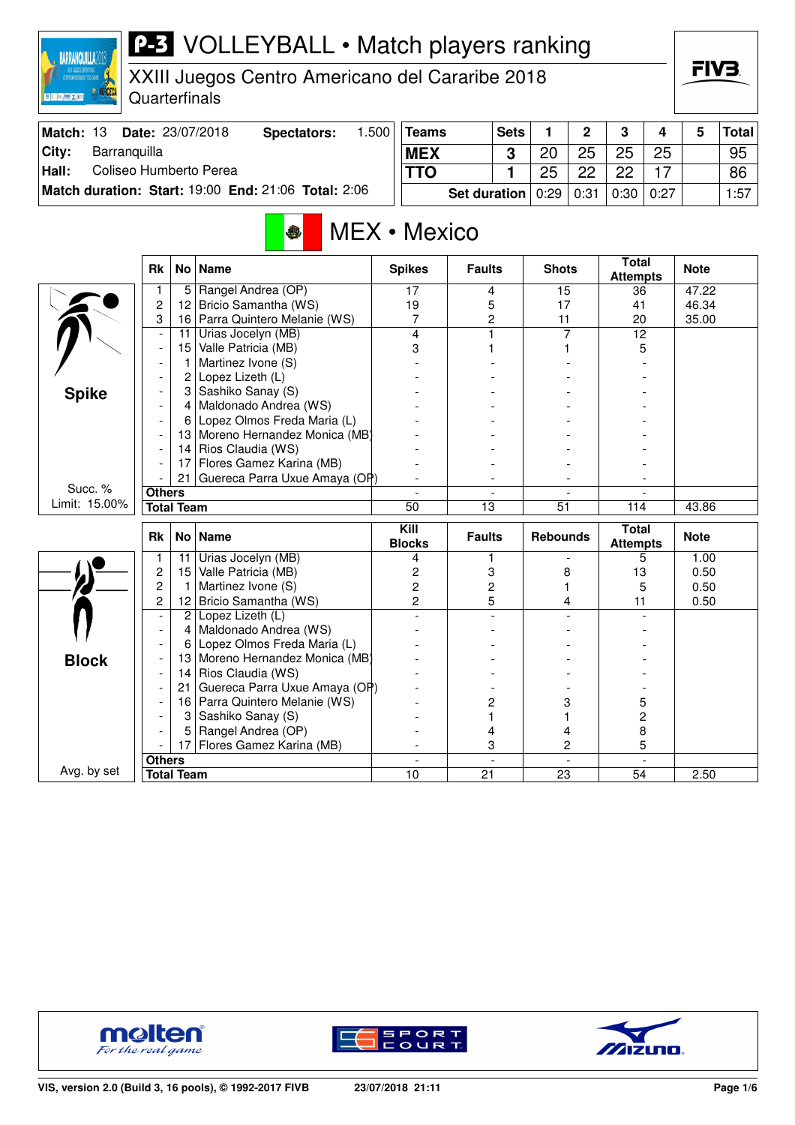| <b>P-3</b> VOLLEYBALL • Match players ranking<br><b>BARRANQUILLA2018</b> |                          |                    |                                                       |       |                                    |                     |             |                 |                |                                 |      |             |              |
|--------------------------------------------------------------------------|--------------------------|--------------------|-------------------------------------------------------|-------|------------------------------------|---------------------|-------------|-----------------|----------------|---------------------------------|------|-------------|--------------|
| NO3CECA<br>■ 图 三 图 ズ 图                                                   | Quarterfinals            |                    | XXIII Juegos Centro Americano del Cararibe 2018       |       |                                    |                     |             |                 |                |                                 |      | FIV3        |              |
| Match: 13                                                                |                          |                    | Date: 23/07/2018<br><b>Spectators:</b>                | 1.500 | <b>Teams</b>                       |                     | <b>Sets</b> | 1               | $\mathbf 2$    | 3                               | 4    | 5           | <b>Total</b> |
| City:<br>Barranquilla                                                    |                          |                    |                                                       |       | <b>MEX</b>                         |                     | 3           | 20              | 25             | 25                              | 25   |             | 95           |
| Coliseo Humberto Perea<br>Hall:                                          |                          |                    |                                                       |       | <b>TTO</b>                         |                     | 1           | 25              | 22             | 22                              | 17   |             | 86           |
|                                                                          |                          |                    | Match duration: Start: 19:00 End: 21:06 Total: 2:06   |       |                                    | <b>Set duration</b> |             | 0:29            | 0:31           | 0:30                            | 0:27 |             | 1:57         |
|                                                                          |                          |                    | S                                                     |       | MEX • Mexico                       |                     |             |                 |                |                                 |      |             |              |
|                                                                          | <b>Rk</b>                | No l               | <b>Name</b>                                           |       | <b>Spikes</b>                      | <b>Faults</b>       |             | <b>Shots</b>    |                | <b>Total</b><br><b>Attempts</b> |      | <b>Note</b> |              |
|                                                                          | $\mathbf{1}$             | 5                  | Rangel Andrea (OP)                                    |       | 17                                 | 4                   |             | 15              |                | 36                              |      | 47.22       |              |
|                                                                          | $\overline{c}$           | 12 <sub>2</sub>    | Bricio Samantha (WS)                                  |       | 19                                 | 5                   |             | 17              |                | 41                              |      | 46.34       |              |
|                                                                          | 3                        |                    | 16 Parra Quintero Melanie (WS)                        |       | 7<br>4                             | $\overline{c}$<br>1 |             | 11              | $\overline{7}$ | 20                              |      | 35.00       |              |
|                                                                          | $\overline{\phantom{a}}$ | 11                 | Urias Jocelyn (MB)<br>Valle Patricia (MB)             |       |                                    |                     |             | 1               |                | 12                              | 5    |             |              |
|                                                                          |                          | 15<br>$\mathbf{1}$ | Martinez Ivone (S)                                    |       | 3                                  |                     |             |                 |                |                                 |      |             |              |
|                                                                          |                          | $\overline{2}$     | Lopez Lizeth (L)                                      |       |                                    |                     |             |                 |                |                                 |      |             |              |
| <b>Spike</b>                                                             |                          |                    | 3 Sashiko Sanay (S)                                   |       |                                    |                     |             |                 |                |                                 |      |             |              |
|                                                                          |                          | 4                  | Maldonado Andrea (WS)                                 |       |                                    |                     |             |                 |                |                                 |      |             |              |
|                                                                          |                          | 6                  | Lopez Olmos Freda Maria (L)                           |       |                                    |                     |             |                 |                |                                 |      |             |              |
|                                                                          |                          |                    | 13 Moreno Hernandez Monica (MB)                       |       |                                    |                     |             |                 |                |                                 |      |             |              |
|                                                                          |                          | 14                 | Rios Claudia (WS)                                     |       |                                    |                     |             |                 |                |                                 |      |             |              |
|                                                                          |                          |                    | 17 Flores Gamez Karina (MB)                           |       |                                    |                     |             |                 |                |                                 |      |             |              |
|                                                                          |                          | 21                 | Guereca Parra Uxue Amaya (OP)                         |       |                                    |                     |             |                 |                |                                 |      |             |              |
| Succ. %                                                                  | <b>Others</b>            |                    |                                                       |       |                                    |                     |             |                 |                |                                 |      |             |              |
| Limit: 15.00%                                                            |                          | <b>Total Team</b>  |                                                       |       | $\overline{50}$                    | 13                  |             | 51              |                | 114                             |      | 43.86       |              |
|                                                                          | Rk                       | No                 | <b>Name</b>                                           |       | $\overline{$ Kill<br><b>Blocks</b> | <b>Faults</b>       |             | <b>Rebounds</b> |                | <b>Total</b><br><b>Attempts</b> |      | <b>Note</b> |              |
|                                                                          | 1                        | 11                 | Urias Jocelyn (MB)                                    |       | 4                                  | 1                   |             |                 |                |                                 | 5    | 1.00        |              |
|                                                                          | $\overline{c}$           | 15                 | Valle Patricia (MB)                                   |       | 2                                  | 3                   |             | 8               |                | 13                              |      | 0.50        |              |
|                                                                          | $\overline{c}$           | $\overline{1}$     | Martinez Ivone (S)                                    |       | 2                                  | $\overline{c}$      |             |                 | 1              |                                 | 5    | 0.50        |              |
|                                                                          | $\overline{c}$           |                    | 12 Bricio Samantha (WS)                               |       | 2                                  | 5                   |             |                 | 4              | 11                              |      | 0.50        |              |
|                                                                          | $\blacksquare$           |                    | 2 Lopez Lizeth (L)                                    |       |                                    |                     |             |                 |                |                                 |      |             |              |
|                                                                          | $\overline{\phantom{a}}$ | 4                  | Maldonado Andrea (WS)                                 |       |                                    |                     |             |                 |                |                                 |      |             |              |
|                                                                          |                          | 6                  | Lopez Olmos Freda Maria (L)                           |       |                                    |                     |             |                 |                |                                 |      |             |              |
| <b>Block</b>                                                             |                          |                    | 13 Moreno Hernandez Monica (MB)                       |       |                                    |                     |             |                 |                |                                 |      |             |              |
|                                                                          |                          | 21                 | 14 Rios Claudia (WS)<br>Guereca Parra Uxue Amaya (OP) |       |                                    |                     |             |                 |                |                                 |      |             |              |
|                                                                          |                          |                    | 16 Parra Quintero Melanie (WS)                        |       |                                    | $\overline{2}$      |             |                 | 3              |                                 | 5    |             |              |
|                                                                          |                          |                    |                                                       |       |                                    |                     |             |                 |                |                                 |      |             |              |

- | 16 | Parra Quintero Melanie (WS) | - | 2 | 3 | 5 - 3 Sashiko Sanay (S) - 1 1 2 - 5 Rangel Andrea (OP) - 4 4 8 - 17 Flores Gamez Karina (MB) - 3 2 5 **Others** - - - -

**Total Team** 10 21 23 54 2.50



Avg. by set



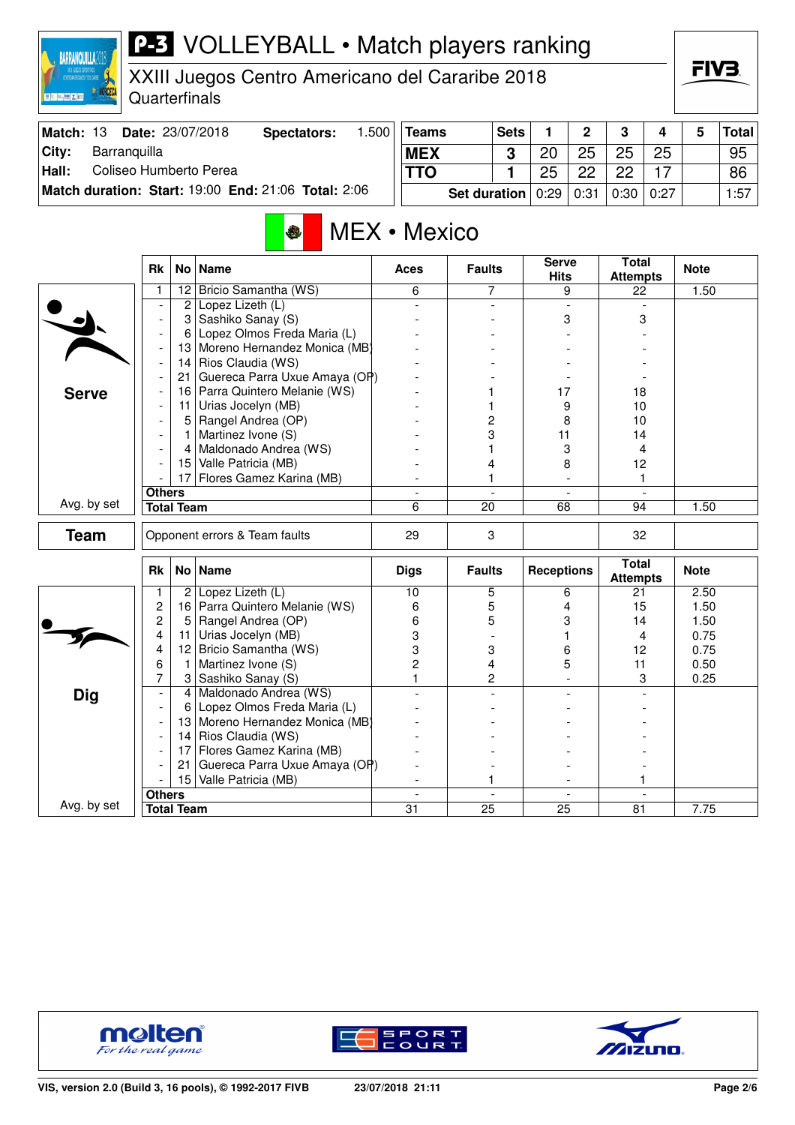XXIII Juegos Centro Americano del Cararibe 2018

Quarterfinals

**RARRANQUILLA2018** 

| <b>Match: 13</b> | <b>Date: 23/07/2018</b>                             | Spectators: | $.500$   Teams                | <b>Sets</b> |                | $\mathbf{\Omega}$ | 3      |      | Total <sup> </sup> |
|------------------|-----------------------------------------------------|-------------|-------------------------------|-------------|----------------|-------------------|--------|------|--------------------|
| City:            | Barranquilla                                        |             | <b>MEX</b>                    | ົ           | 2 <sup>c</sup> | 25                | 25     | 25   | 95                 |
| Hall:            | Coliseo Humberto Perea                              |             | <b>TTO</b>                    |             | 25             | つつ                | っっ     |      | 86                 |
|                  | Match duration: Start: 19:00 End: 21:06 Total: 2:06 |             | Set duration $0.29 \mid 0.31$ |             |                |                   | $0:30$ | 0:27 | 1:57               |

#### MEX • Mexico

|              | <b>Rk</b>                |                   | No   Name                     | <b>Aces</b>     | <b>Faults</b>   | <b>Serve</b><br><b>Hits</b> | <b>Total</b><br><b>Attempts</b> | <b>Note</b> |
|--------------|--------------------------|-------------------|-------------------------------|-----------------|-----------------|-----------------------------|---------------------------------|-------------|
|              |                          | 12                | Bricio Samantha (WS)          | 6               | 7               | 9                           | 22                              | 1.50        |
|              |                          | 2                 | Lopez Lizeth (L)              |                 |                 |                             |                                 |             |
|              |                          | 3                 | Sashiko Sanay (S)             |                 |                 | 3                           | 3                               |             |
|              |                          | 6                 | Lopez Olmos Freda Maria (L)   |                 |                 |                             |                                 |             |
|              |                          | 13                | Moreno Hernandez Monica (MB)  |                 |                 |                             |                                 |             |
|              | ÷,                       | 14                | Rios Claudia (WS)             |                 |                 |                             |                                 |             |
|              |                          | 21                | Guereca Parra Uxue Amaya (OP) |                 |                 |                             |                                 |             |
| <b>Serve</b> |                          | 16                | Parra Quintero Melanie (WS)   |                 |                 | 17                          | 18                              |             |
|              |                          | 11                | Urias Jocelyn (MB)            |                 |                 | 9                           | 10                              |             |
|              |                          | 5                 | Rangel Andrea (OP)            |                 | 2               | 8                           | 10                              |             |
|              |                          | 1                 | Martinez Ivone (S)            |                 | 3               | 11                          | 14                              |             |
|              |                          | 4                 | Maldonado Andrea (WS)         |                 | 1               | 3                           | 4                               |             |
|              |                          |                   | 15 Valle Patricia (MB)        |                 | 4               | 8                           | 12                              |             |
|              |                          | 17                | Flores Gamez Karina (MB)      |                 | 1               |                             | 1                               |             |
|              | <b>Others</b>            |                   |                               |                 |                 | $\overline{a}$              | $\overline{a}$                  |             |
| Avg. by set  |                          | <b>Total Team</b> |                               | 6               | $\overline{20}$ | 68                          | 94                              | 1.50        |
| <b>Team</b>  |                          |                   | Opponent errors & Team faults | 29              | 3               |                             | 32                              |             |
|              | <b>Rk</b>                |                   | No Name                       | <b>Digs</b>     | <b>Faults</b>   | <b>Receptions</b>           | <b>Total</b><br><b>Attempts</b> | <b>Note</b> |
|              | $\mathbf{1}$             | 2                 | Lopez Lizeth (L)              | $\overline{10}$ | 5               | 6                           | 21                              | 2.50        |
|              | $\overline{c}$           | 16                | Parra Quintero Melanie (WS)   | 6               | 5               | 4                           | 15                              | 1.50        |
|              | $\overline{c}$           | 5                 | Rangel Andrea (OP)            | 6               | 5               | 3                           | 14                              | 1.50        |
|              | 4                        | 11                | Urias Jocelyn (MB)            | 3               |                 |                             | 4                               | 0.75        |
|              | 4                        | 12 <sub>2</sub>   | Bricio Samantha (WS)          | 3               | 3               | 6                           | 12                              | 0.75        |
|              | 6                        | 1                 | Martinez Ivone (S)            | $\overline{2}$  | 4               | 5                           | 11                              | 0.50        |
|              | 7                        | 3                 | Sashiko Sanay (S)             | $\mathbf{1}$    | 2               |                             | 3                               | 0.25        |
| <b>Dig</b>   | $\overline{\phantom{a}}$ | 4                 | Maldonado Andrea (WS)         |                 |                 |                             |                                 |             |
|              |                          | 6                 | Lopez Olmos Freda Maria (L)   |                 |                 |                             |                                 |             |
|              |                          | 13                | Moreno Hernandez Monica (MB)  |                 |                 |                             |                                 |             |
|              |                          | 14                | Rios Claudia (WS)             |                 |                 |                             |                                 |             |
|              |                          | 17                | Flores Gamez Karina (MB)      |                 |                 |                             |                                 |             |
|              |                          | 21                | Guereca Parra Uxue Amaya (OP) |                 |                 |                             |                                 |             |
|              |                          | 15                | Valle Patricia (MB)           |                 |                 |                             |                                 |             |
|              | <b>Others</b>            |                   |                               | $\overline{a}$  |                 | $\mathbf{r}$                | $\overline{a}$                  |             |
| Avg. by set  |                          | <b>Total Team</b> |                               | $\overline{31}$ | $\overline{25}$ | 25                          | 81                              | 7.75        |







FIV<sub>3</sub>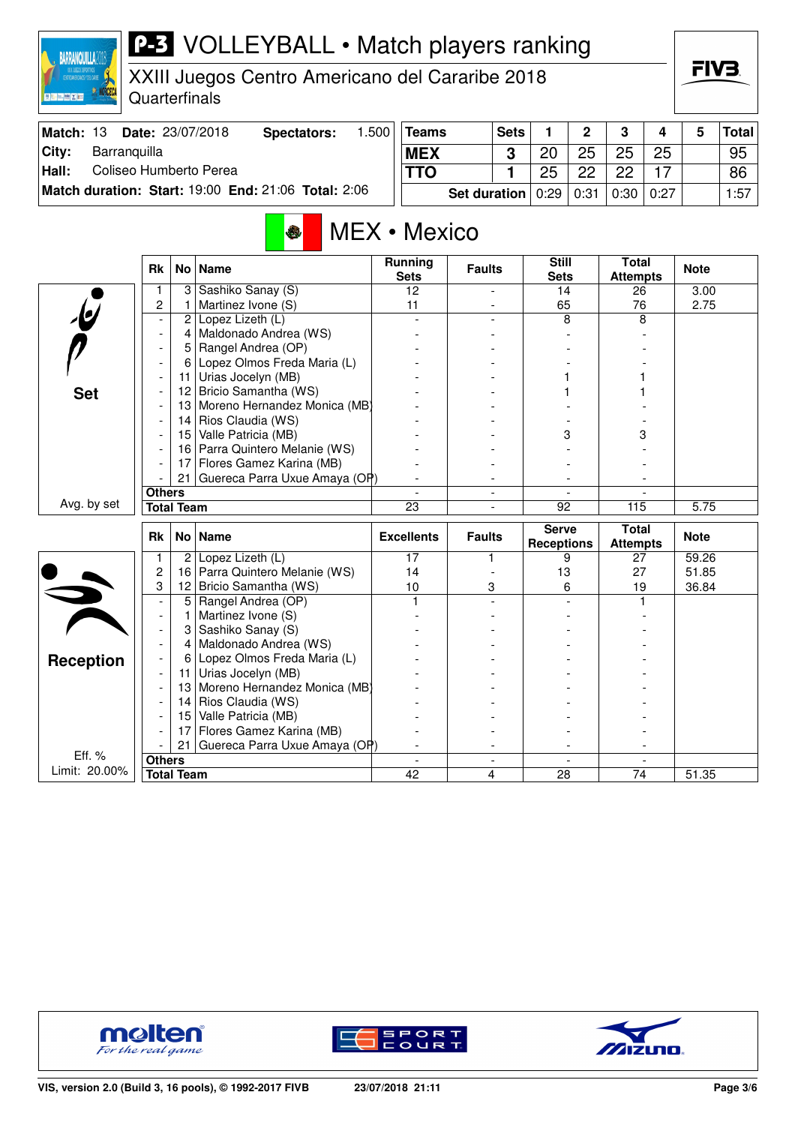XXIII Juegos Centro Americano del Cararibe 2018

Quarterfinals

**BARRANQUILLA2018** 

**SO NORCEO** 

| Match: 13 | <b>Date: 23/07/2018</b>                             | Spectators: | .500 | $ T$ eams                     | Sets |    | C  | າ           |    | Total |
|-----------|-----------------------------------------------------|-------------|------|-------------------------------|------|----|----|-------------|----|-------|
| Citv:     | Barranguilla                                        |             |      | <b>MEX</b>                    | 2    | 20 | 25 | 25          | 25 | 95    |
| Hall:     | Coliseo Humberto Perea                              |             |      | <b>TTO</b>                    |      | 25 | ດດ | 22          |    | 86    |
|           | Match duration: Start: 19:00 End: 21:06 Total: 2:06 |             |      | Set duration $0.29 \mid 0.31$ |      |    |    | 0:30   0:27 |    | 1:57  |

#### MEX • Mexico b.

|                         | <b>Rk</b>                |                   | No   Name                      | <b>Running</b><br><b>Sets</b>  | <b>Faults</b>            | <b>Still</b><br><b>Sets</b>       | <b>Total</b><br><b>Attempts</b> | <b>Note</b> |
|-------------------------|--------------------------|-------------------|--------------------------------|--------------------------------|--------------------------|-----------------------------------|---------------------------------|-------------|
|                         |                          | 3                 | Sashiko Sanay (S)              | 12                             |                          | 14                                | 26                              | 3.00        |
|                         | $\overline{c}$           | 1                 | Martinez Ivone (S)             | 11                             |                          | 65                                | 76                              | 2.75        |
|                         | $\overline{\phantom{a}}$ | $\overline{2}$    | Lopez Lizeth (L)               |                                |                          | 8                                 | 8                               |             |
|                         | $\blacksquare$           | 4                 | Maldonado Andrea (WS)          |                                |                          |                                   |                                 |             |
|                         |                          | 5                 | Rangel Andrea (OP)             |                                |                          |                                   |                                 |             |
|                         |                          | 6                 | Lopez Olmos Freda Maria (L)    |                                |                          |                                   |                                 |             |
|                         |                          | 11                | Urias Jocelyn (MB)             |                                |                          |                                   |                                 |             |
| <b>Set</b>              |                          | 12                | Bricio Samantha (WS)           |                                |                          |                                   |                                 |             |
|                         |                          | 13                | Moreno Hernandez Monica (MB)   |                                |                          |                                   |                                 |             |
|                         |                          | 14                | Rios Claudia (WS)              |                                |                          |                                   |                                 |             |
|                         |                          | 15                | Valle Patricia (MB)            |                                |                          | 3                                 | 3                               |             |
|                         |                          |                   | 16 Parra Quintero Melanie (WS) |                                |                          |                                   |                                 |             |
|                         |                          | 17                | Flores Gamez Karina (MB)       |                                |                          |                                   |                                 |             |
|                         |                          | 21                | Guereca Parra Uxue Amaya (OP)  |                                |                          |                                   |                                 |             |
|                         | <b>Others</b>            |                   |                                |                                |                          |                                   |                                 |             |
| Avg. by set             |                          | <b>Total Team</b> |                                | 23                             |                          | 92                                | 115                             | 5.75        |
|                         |                          |                   |                                |                                |                          |                                   |                                 |             |
|                         |                          |                   |                                |                                |                          |                                   |                                 |             |
|                         | <b>Rk</b>                | No                | <b>Name</b>                    | <b>Excellents</b>              | <b>Faults</b>            | <b>Serve</b><br><b>Receptions</b> | <b>Total</b><br><b>Attempts</b> | <b>Note</b> |
|                         | 1                        | $\overline{2}$    | Lopez Lizeth (L)               | 17                             | 1                        | 9                                 | 27                              | 59.26       |
|                         | $\overline{c}$           | 16                | Parra Quintero Melanie (WS)    | 14                             |                          | 13                                | 27                              | 51.85       |
|                         | 3                        | 12                | Bricio Samantha (WS)           | 10                             | 3                        | 6                                 | 19                              | 36.84       |
|                         | $\overline{\phantom{a}}$ | 5                 | Rangel Andrea (OP)             | 1                              |                          |                                   |                                 |             |
|                         | $\blacksquare$           | 1                 | Martinez Ivone (S)             |                                |                          |                                   |                                 |             |
|                         |                          | 3                 | Sashiko Sanay (S)              |                                |                          |                                   |                                 |             |
|                         |                          | 4                 | Maldonado Andrea (WS)          |                                |                          |                                   |                                 |             |
|                         |                          | 6                 | Lopez Olmos Freda Maria (L)    |                                |                          |                                   |                                 |             |
| <b>Reception</b>        |                          | 11                | Urias Jocelyn (MB)             |                                |                          |                                   |                                 |             |
|                         |                          | 13                | Moreno Hernandez Monica (MB)   |                                |                          |                                   |                                 |             |
|                         |                          | 14                | Rios Claudia (WS)              |                                |                          |                                   |                                 |             |
|                         |                          | 15                | Valle Patricia (MB)            |                                |                          |                                   |                                 |             |
|                         |                          | 17                | Flores Gamez Karina (MB)       |                                |                          |                                   |                                 |             |
|                         |                          | 21                | Guereca Parra Uxue Amaya (OP)  |                                |                          |                                   |                                 |             |
| Eff. %<br>Limit: 20.00% | <b>Others</b>            | <b>Total Team</b> |                                | $\overline{\phantom{a}}$<br>42 | $\overline{\phantom{a}}$ | $\overline{\phantom{a}}$<br>28    | 74                              | 51.35       |







FIV<sub>3</sub>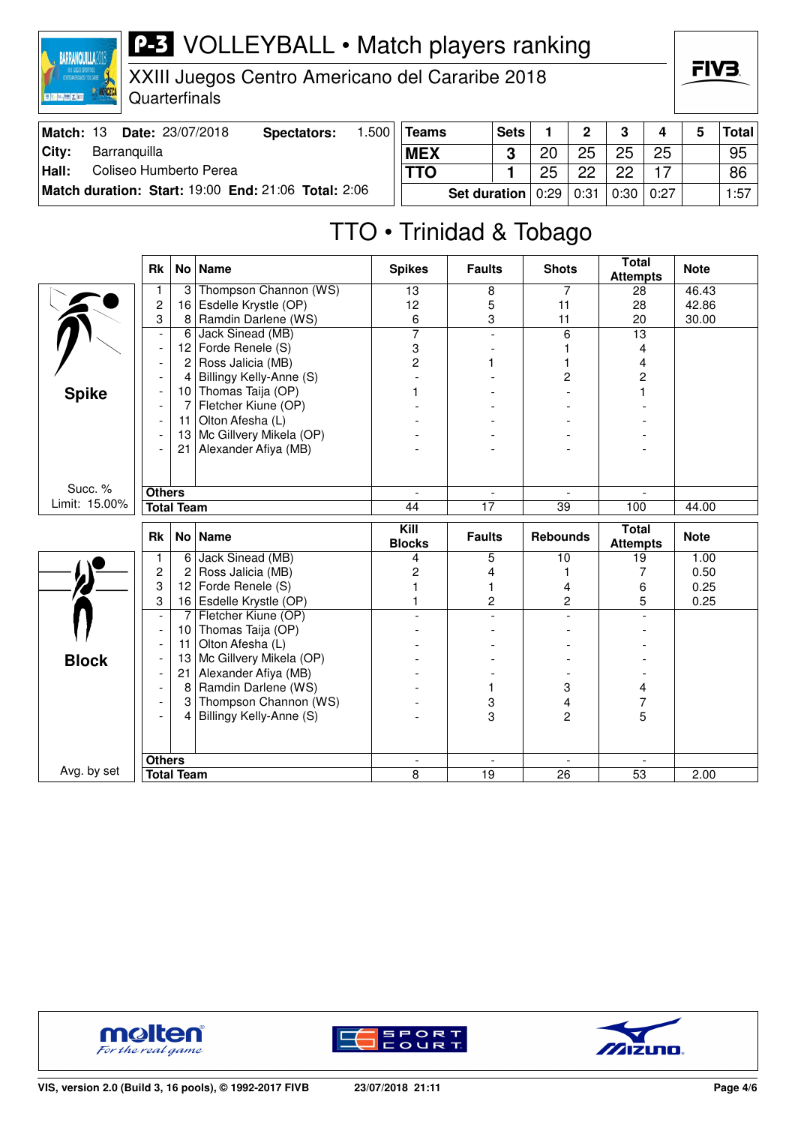| <b>BARRANQUILLA?D</b> |                                          | <b>P-3</b> VOLLEYBALL • Match players ranking                    |                    |       |              |      |    |             |    |    | FIV <sub>3</sub> |              |  |
|-----------------------|------------------------------------------|------------------------------------------------------------------|--------------------|-------|--------------|------|----|-------------|----|----|------------------|--------------|--|
|                       | XIII JUEGOS DEFORTIVOS CENTERAL EN ENTRE | XXIII Juegos Centro Americano del Cararibe 2018<br>Quarterfinals |                    |       |              |      |    |             |    |    |                  |              |  |
|                       |                                          | Match: 13 Date: 23/07/2018                                       | <b>Spectators:</b> | 1.500 | <b>Teams</b> | Sets |    | $\mathbf 2$ | 3  | 4  | 5                | <b>Total</b> |  |
| City:                 |                                          | Barranquilla                                                     |                    |       | <b>MEX</b>   | 3    | 20 | 25          | 25 | 25 |                  | 95           |  |
| Hall:                 |                                          | Coliseo Humberto Perea                                           |                    |       | <b>TTO</b>   |      | 25 | 22          | 22 |    |                  | 86           |  |

 $\overline{1}$ 

**Match duration: Start:** 19:00 **End:** 21:06 **Total:** 2:06

| eams                                     | <b>Sets</b> |    | $\mathbf{2}$ | 3  |    | 5 | Total |
|------------------------------------------|-------------|----|--------------|----|----|---|-------|
| <b>IEX</b>                               |             | 20 | 25           | 25 | 25 |   | 95    |
| ΤΟ                                       |             | 25 | 22           | 22 |    |   | 86    |
| Set duration   0:29   0:31   0:30   0:27 |             |    |              |    |    |   | 1:57  |

### TTO • Trinidad & Tobago

|               | <b>Rk</b>                | No <sub>1</sub>   | <b>Name</b>             | <b>Spikes</b>     | <b>Faults</b>            | <b>Shots</b>                     | <b>Total</b><br><b>Attempts</b> | <b>Note</b> |
|---------------|--------------------------|-------------------|-------------------------|-------------------|--------------------------|----------------------------------|---------------------------------|-------------|
|               | 1                        | 3                 | Thompson Channon (WS)   | 13                | 8                        | 7                                | 28                              | 46.43       |
|               | $\overline{c}$           | 16                | Esdelle Krystle (OP)    | 12                | 5                        | 11                               | 28                              | 42.86       |
|               | 3                        | 8                 | Ramdin Darlene (WS)     | 6                 | 3                        | 11                               | 20                              | 30.00       |
|               | $\overline{\phantom{a}}$ | 6                 | Jack Sinead (MB)        | $\overline{7}$    | $\overline{\phantom{a}}$ | 6                                | $\overline{13}$                 |             |
|               |                          | 12 <sub>2</sub>   | Forde Renele (S)        | 3                 |                          |                                  | 4                               |             |
|               |                          | 2                 | Ross Jalicia (MB)       | 2                 |                          |                                  | 4                               |             |
|               |                          | 4                 | Billingy Kelly-Anne (S) |                   |                          | 2                                | $\overline{c}$                  |             |
| <b>Spike</b>  |                          | 10                | Thomas Taija (OP)       |                   |                          |                                  |                                 |             |
|               |                          | 7                 | Fletcher Kiune (OP)     |                   |                          |                                  |                                 |             |
|               |                          | 11                | Olton Afesha (L)        |                   |                          |                                  |                                 |             |
|               |                          | 13                | Mc Gillvery Mikela (OP) |                   |                          |                                  |                                 |             |
|               |                          | 21                | Alexander Afiya (MB)    |                   |                          |                                  |                                 |             |
|               |                          |                   |                         |                   |                          |                                  |                                 |             |
| Succ. %       | <b>Others</b>            |                   |                         | $\bar{a}$         | $\overline{\phantom{a}}$ | $\overline{\phantom{a}}$         |                                 |             |
| Limit: 15.00% |                          | <b>Total Team</b> |                         | 44                | 17                       | 39                               | 100                             | 44.00       |
|               |                          |                   |                         |                   |                          |                                  |                                 |             |
|               | <b>Rk</b>                |                   | No Name                 | $\overline{$ Kill | <b>Faults</b>            | <b>Rebounds</b>                  | <b>Total</b>                    | <b>Note</b> |
|               |                          |                   |                         | <b>Blocks</b>     |                          |                                  | <b>Attempts</b>                 |             |
|               | 1                        | 6                 | Jack Sinead (MB)        | 4                 | 5                        | 10                               | 19                              | 1.00        |
|               | $\overline{c}$           | 2                 | Ross Jalicia (MB)       | $\overline{c}$    | 4                        | 1                                | 7                               | 0.50        |
|               | 3                        | 12                | Forde Renele (S)        |                   | 1                        | 4                                | 6                               | 0.25        |
|               | 3                        | 16                | Esdelle Krystle (OP)    | 1                 | $\overline{c}$           | $\overline{c}$<br>$\overline{a}$ | 5<br>$\overline{a}$             | 0.25        |
|               | $\overline{\phantom{a}}$ | $\overline{7}$    | Fletcher Kiune (OP)     |                   |                          |                                  |                                 |             |
|               |                          | 10                | Thomas Taija (OP)       |                   |                          |                                  |                                 |             |
|               |                          | 11                | Olton Afesha (L)        |                   |                          |                                  |                                 |             |
| <b>Block</b>  |                          | 13<br>21          | Mc Gillvery Mikela (OP) |                   |                          |                                  |                                 |             |
|               |                          | 8                 | Alexander Afiya (MB)    |                   | 1                        |                                  |                                 |             |
|               |                          |                   | Ramdin Darlene (WS)     |                   |                          | 3                                | 4                               |             |
|               |                          | 3<br>4            | Thompson Channon (WS)   |                   | 3<br>3                   | 4<br>$\overline{2}$              | 7                               |             |
|               |                          |                   | Billingy Kelly-Anne (S) |                   |                          |                                  | 5                               |             |
|               |                          |                   |                         |                   |                          |                                  |                                 |             |
| Avg. by set   | <b>Others</b>            | <b>Total Team</b> |                         | 8                 | $\overline{19}$          | $\overline{26}$                  | $\overline{53}$                 | 2.00        |





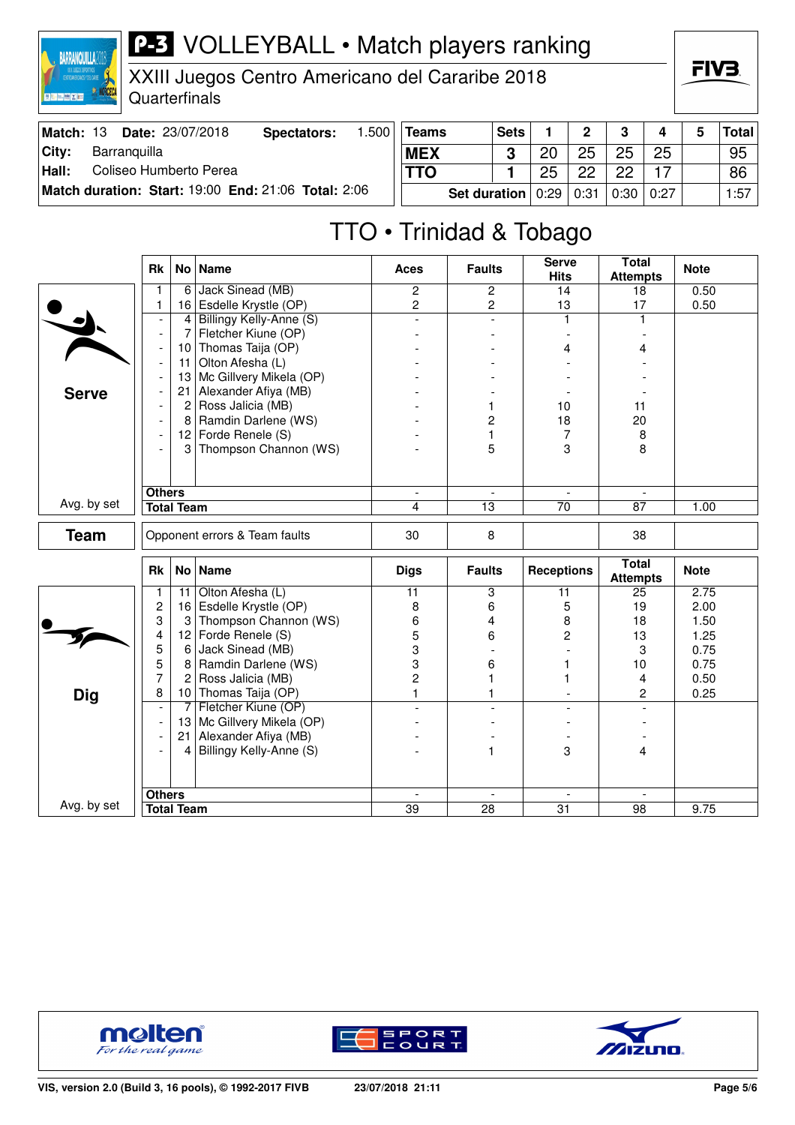**RARRANQUILLA?** 

XXIII Juegos Centro Americano del Cararibe 2018 Quarterfinals

FIV<sub>3</sub>

| Match: 13 | <b>Date: 23/07/2018</b>                             | Spectators: | .500 <sup>†</sup> | Teams                 | <b>Sets</b> |    | $\overline{2}$ | -3 | 4           | <b>Total</b> |
|-----------|-----------------------------------------------------|-------------|-------------------|-----------------------|-------------|----|----------------|----|-------------|--------------|
| City:     | Barranquilla                                        |             |                   | <b>MEX</b>            |             | 20 | 25             | 25 | 25          | 95           |
| Hall:     | Coliseo Humberto Perea                              |             |                   | TTO                   |             | 25 | ററ             | ດດ |             | 86           |
|           | Match duration: Start: 19:00 End: 21:06 Total: 2:06 |             |                   | Set duration $ 0:29 $ |             |    | 0:31           |    | 0:30   0:27 | 1:57         |

#### TTO • Trinidad & Tobago

|              | Rk                       |                   | No Name                       | <b>Aces</b>              | <b>Faults</b>            | <b>Serve</b><br><b>Hits</b> | <b>Total</b><br><b>Attempts</b> | <b>Note</b> |
|--------------|--------------------------|-------------------|-------------------------------|--------------------------|--------------------------|-----------------------------|---------------------------------|-------------|
|              | 1                        | 6                 | Jack Sinead (MB)              | $\mathbf{2}$             | $\overline{2}$           | 14                          | 18                              | 0.50        |
|              | $\mathbf{1}$             | 16                | Esdelle Krystle (OP)          | $\overline{c}$           | $\overline{c}$           | 13                          | 17                              | 0.50        |
|              |                          | 4                 | Billingy Kelly-Anne (S)       | $\overline{a}$           | $\overline{a}$           | $\mathbf{1}$                | $\mathbf{1}$                    |             |
|              | $\overline{\phantom{a}}$ | 7                 | Fletcher Kiune (OP)           |                          |                          |                             |                                 |             |
|              |                          | 10                | Thomas Taija (OP)             |                          |                          | 4                           | 4                               |             |
|              | $\overline{\phantom{a}}$ | 11                | Olton Afesha (L)              |                          |                          |                             |                                 |             |
|              |                          | 13                | Mc Gillvery Mikela (OP)       |                          |                          |                             |                                 |             |
| <b>Serve</b> |                          | 21                | Alexander Afiya (MB)          |                          |                          |                             |                                 |             |
|              |                          | $\overline{c}$    | Ross Jalicia (MB)             |                          | 1                        | 10                          | 11                              |             |
|              |                          | 8                 | Ramdin Darlene (WS)           |                          | 2                        | 18                          | 20                              |             |
|              | $\overline{\phantom{a}}$ |                   | 12 Forde Renele (S)           |                          | 1                        | 7                           | 8                               |             |
|              |                          | 3                 | Thompson Channon (WS)         |                          | 5                        | 3                           | 8                               |             |
|              |                          |                   |                               |                          |                          |                             |                                 |             |
|              |                          |                   |                               |                          |                          |                             |                                 |             |
| Avg. by set  | <b>Others</b>            |                   |                               | $\overline{\phantom{a}}$ | $\overline{\phantom{a}}$ | $\overline{\phantom{a}}$    |                                 |             |
|              |                          | <b>Total Team</b> |                               | 4                        | $\overline{13}$          | $\overline{70}$             | 87                              | 1.00        |
| <b>Team</b>  |                          |                   | Opponent errors & Team faults | 30                       | 8                        |                             | 38                              |             |
|              | Rk                       |                   | No Name                       | <b>Digs</b>              | <b>Faults</b>            | <b>Receptions</b>           | <b>Total</b><br><b>Attempts</b> | <b>Note</b> |
|              | 1                        | 11                | Olton Afesha (L)              | $\overline{11}$          | 3                        | 11                          | 25                              | 2.75        |
|              | $\overline{c}$           | 16                | Esdelle Krystle (OP)          | 8                        | 6                        | 5                           | 19                              | 2.00        |
|              | 3                        | 3                 | Thompson Channon (WS)         | 6                        | 4                        | 8                           | 18                              | 1.50        |
|              | 4                        | 12                | Forde Renele (S)              | 5                        | 6                        | $\overline{c}$              | 13                              | 1.25        |
|              | 5                        | 6                 | Jack Sinead (MB)              | 3                        |                          |                             | 3                               | 0.75        |
|              | 5                        | 8                 | Ramdin Darlene (WS)           | 3                        | 6                        |                             | 10                              | 0.75        |
|              | $\overline{7}$           | $\overline{2}$    | Ross Jalicia (MB)             | $\overline{c}$           | 1                        |                             | 4                               | 0.50        |
| <b>Dig</b>   | 8                        |                   | 10 Thomas Taija (OP)          | $\mathbf{1}$             | 1                        |                             | $\overline{c}$                  | 0.25        |
|              | $\overline{\phantom{a}}$ | 7                 | Fletcher Kiune (OP)           |                          | $\overline{a}$           |                             |                                 |             |
|              |                          | 13                | Mc Gillvery Mikela (OP)       |                          |                          |                             |                                 |             |
|              |                          | 21                | Alexander Afiya (MB)          |                          |                          |                             |                                 |             |
|              |                          | 4                 | Billingy Kelly-Anne (S)       |                          | 1                        | 3                           | 4                               |             |
|              |                          |                   |                               |                          |                          |                             |                                 |             |
|              |                          |                   |                               |                          |                          |                             |                                 |             |
| Avg. by set  | <b>Others</b>            |                   |                               | $\blacksquare$           | $\overline{\phantom{a}}$ | $\overline{\phantom{a}}$    | $\overline{\phantom{a}}$        |             |
|              |                          | <b>Total Team</b> |                               | 39                       | 28                       | $\overline{31}$             | 98                              | 9.75        |